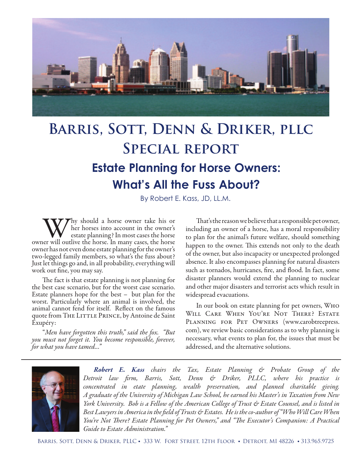

# **Barris, Sott, Denn & Driker, pllc Special report Estate Planning for Horse Owners: What's All the Fuss About?**

By Robert E. Kass, JD, LL.M.

Why should a horse owner take his or her horses into account in the owner's estate planning? In most cases the horse owner will outlive the horse. In many cases, the horse her horses into account in the owner's estate planning? In most cases the horse owner has not even done estate planning for the owner's two-legged family members, so what's the fuss about? Just let things go and, in all probability, everything will work out fine, you may say.

The fact is that estate planning is not planning for the best case scenario, but for the worst case scenario. Estate planners hope for the best – but plan for the worst. Particularly where an animal is involved, the animal cannot fend for itself. Reflect on the famous quote from THE LITTLE PRINCE, by Antoine de Saint Exupéry:

"*Men have forgotten this truth," said the fox. "But you must not forget it. You become responsible, forever, for what you have tamed..."*

That's the reason we believe that a responsible pet owner, including an owner of a horse, has a moral responsibility to plan for the animal's future welfare, should something happen to the owner. This extends not only to the death of the owner, but also incapacity or unexpected prolonged absence. It also encompasses planning for natural disasters such as tornados, hurricanes, fire, and flood. In fact, some disaster planners would extend the planning to nuclear and other major disasters and terrorist acts which result in widespread evacuations.

In our book on estate planning for pet owners, Who WILL CARE WHEN YOU'RE NOT THERE? ESTATE PLANNING FOR PET OWNERS (www.carobtreepress. com), we review basic considerations as to why planning is necessary, what events to plan for, the issues that must be addressed, and the alternative solutions.



*Robert E. Kass chairs the Tax, Estate Planning & Probate Group of the Detroit law firm, Barris, Sott, Denn & Driker, PLLC, where his practice is concentrated in etate planning, wealth preservation, and planned charitable giving. A graduate of the University of Michigan Law School, he earned his Master's in Taxation from New York University. Bob is a Fellow of the American College of Trust & Estate Counsel, and is listed in Best Lawyers in America in the field of Trusts & Estates. He is the co-author of "Who Will Care When You're Not There? Estate Planning for Pet Owners," and "The Executor's Companion: A Practical Guide to Estate Administration."*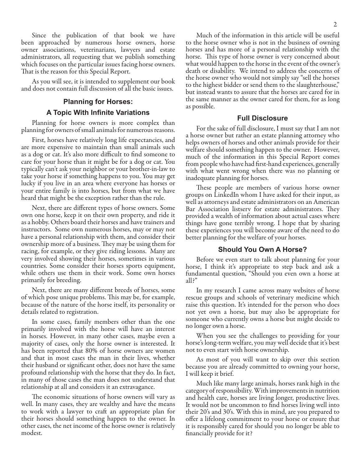Since the publication of that book we have been approached by numerous horse owners, horse owner associations, veterinarians, lawyers and estate administrators, all requesting that we publish something which focuses on the particular issues facing horse owners. That is the reason for this Special Report.

As you will see, it is intended to supplement our book and does not contain full discussion of all the basic issues.

## **Planning for Horses: A Topic With Infinite Variations**

Planning for horse owners is more complex than planning for owners of small animals for numerous reasons.

First, horses have relatively long life expectancies, and are more expensive to maintain than small animals such as a dog or cat. It's also more difficult to find someone to care for your horse than it might be for a dog or cat. You typically can't ask your neighbor or your brother-in-law to take your horse if something happens to you. You may get lucky if you live in an area where everyone has horses or your entire family is into horses, but from what we have heard that might be the exception rather than the rule.

Next, there are different types of horse owners. Some own one horse, keep it on their own property, and ride it as a hobby. Others board their horses and have trainers and instructors. Some own numerous horses, may or may not have a personal relationship with them, and consider their ownership more of a business. They may be using them for racing, for example, or they give riding lessons. Many are very involved showing their horses, sometimes in various countries. Some consider their horses sports equipment, while others use them in their work. Some own horses primarily for breeding.

Next, there are many different breeds of horses, some of which pose unique problems. This may be, for example, because of the nature of the horse itself, its personality or details related to registration.

In some cases, family members other than the one primarily involved with the horse will have an interest in horses. However, in many other cases, maybe even a majority of cases, only the horse owner is interested. It has been reported that 80% of horse owners are women and that in most cases the man in their lives, whether their husband or significant other, does not have the same profound relationship with the horse that they do. In fact, in many of those cases the man does not understand that relationship at all and considers it an extravagance.

The economic situations of horse owners will vary as well. In many cases, they are wealthy and have the means to work with a lawyer to craft an appropriate plan for their horses should something happen to the owner. In other cases, the net income of the horse owner is relatively modest.

## **Full Disclosure**

the same manner as the owner cared for them, for as long

as possible.

For the sake of full disclosure, I must say that I am not a horse owner but rather an estate planning attorney who helps owners of horses and other animals provide for their welfare should something happen to the owner. However, much of the information in this Special Report comes from people who have had first-hand experiences, generally with what went wrong when there was no planning or inadequate planning for horses.

These people are members of various horse owner groups on LinkedIn whom I have asked for their input, as well as attorneys and estate administrators on an American Bar Association listserv for estate administrators. They provided a wealth of information about actual cases where things have gone terribly wrong. I hope that by sharing these experiences you will become aware of the need to do better planning for the welfare of your horses.

## **Should You Own A Horse?**

Before we even start to talk about planning for your horse, I think it's appropriate to step back and ask a fundamental question, "Should you even own a horse at all?"

In my research I came across many websites of horse rescue groups and schools of veterinary medicine which raise this question. It's intended for the person who does not yet own a horse, but may also be appropriate for someone who currently owns a horse but might decide to no longer own a horse.

When you see the challenges to providing for your horse's long-term welfare, you may well decide that it's best not to even start with horse ownership.

As most of you will want to skip over this section because you are already committed to owning your horse, I will keep it brief.

Much like many large animals, horses rank high in the category of responsibility. With improvements in nutrition and health care, horses are living longer, productive lives. It would not be uncommon to find horses living well into their 20's and 30's. With this in mind, are you prepared to offer a lifelong commitment to your horse or ensure that it is responsibly cared for should you no longer be able to financially provide for it?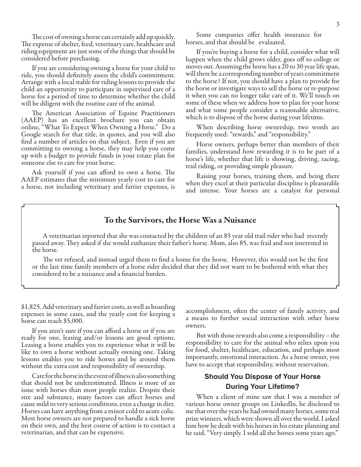The cost of owning a horse can certainly add up quickly. The expense of shelter, feed, veterinary care, healthcare and riding equipment are just some of the things that should be considered before purchasing.

If you are considering owning a horse for your child to ride, you should definitely assess the child's commitment. Arrange with a local stable for riding lessons to provide the child an opportunity to participate in supervised care of a horse for a period of time to determine whether the child will be diligent with the routine care of the animal.

The American Association of Equine Practitioners (AAEP) has an excellent brochure you can obtain online, "What To Expect When Owning a Horse." Do a Google search for that title, in quotes, and you will also find a number of articles on that subject. Even if you are committing to owning a horse, they may help you come up with a budget to provide funds in your estate plan for someone else to care for your horse.

Ask yourself if you can afford to own a horse. The AAEP estimates that the minimum yearly cost to care for a horse, not including veterinary and farrier expenses, is

Some companies offer health insurance for horses, and that should be evaluated.

If you're buying a horse for a child, consider what will happen when the child grows older, goes off to college or moves out. Assuming the horse has a 20 to 30 year life span, will there be a corresponding number of years commitment to the horse? If not, you should have a plan to provide for the horse or investigate ways to sell the horse or re-purpose it when you can no longer take care of it. We'll touch on some of these when we address how to plan for your horse and what some people consider a reasonable alternative, which is to dispose of the horse during your lifetime.

When describing horse ownership, two words are frequently used: "rewards," and "responsibility."

Horse owners, perhaps better than members of their families, understand how rewarding it is to be part of a horse's life, whether that life is showing, driving, racing, trail riding, or providing simple pleasure.

Raising your horses, training them, and being there when they excel at their particular discipline is pleasurable and intense. Your horses are a catalyst for personal

## To the Survivors, the Horse Was a Nuisance

A veterinarian reported that she was contacted by the children of an 85 year old trail rider who had recently passed away. They asked if she would euthanize their father's horse. Mom, also 85, was frail and not interested in the horse.

The vet refused, and instead urged them to find a home for the horse. However, this would not be the first or the last time family members of a horse rider decided that they did not want to be bothered with what they considered to be a nuisance and a financial burden.

\$1,825. Add veterinary and farrier costs, as well as boarding expenses in some cases, and the yearly cost for keeping a horse can reach \$5,000.

If you aren't sure if you can afford a horse or if you are ready for one, leasing and/or lessons are good options. Leasing a horse enables you to experience what it will be like to own a horse without actually owning one. Taking lessons enables you to ride horses and be around them without the extra cost and responsibility of ownership.

Care for the horse in the event of illness is also something that should not be underestimated. Illness is more of an issue with horses than most people realize. Despite their size and substance, many factors can affect horses and cause mild to very serious conditions, even a change in diet. Horses can have anything from a minor cold to acute colic. Most horse owners are not prepared to handle a sick horse on their own, and the best course of action is to contact a veterinarian, and that can be expensive.

accomplishment, often the center of family activity, and a means to further social interaction with other horse owners.

But with those rewards also come a responsibility – the responsibility to care for the animal who relies upon you for food, shelter, healthcare, education, and perhaps most importantly, emotional interaction. As a horse owner, you have to accept that responsibility, without reservation.

## **Should You Dispose of Your Horse During Your Lifetime?**

When a client of mine saw that I was a member of various horse owner groups on LinkedIn, he disclosed to me that over the years he had owned many horses, some real prize winners, which were shown all over the world. I asked him how he dealt with his horses in his estate planning and he said, "Very simply. I sold all the horses some years ago."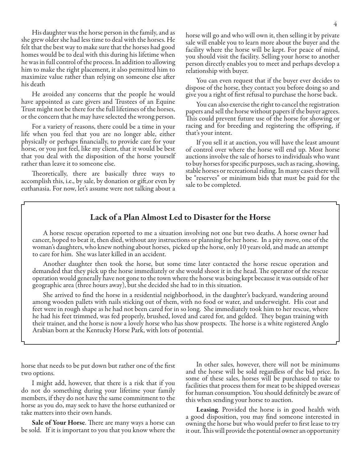His daughter was the horse person in the family, and as she grew older she had less time to deal with the horses. He felt that the best way to make sure that the horses had good homes would be to deal with this during his lifetime when he was in full control of the process. In addition to allowing him to make the right placement, it also permitted him to maximize value rather than relying on someone else after his death

He avoided any concerns that the people he would have appointed as care givers and Trustees of an Equine Trust might not be there for the full lifetimes of the horses, or the concern that he may have selected the wrong person.

For a variety of reasons, there could be a time in your life when you feel that you are no longer able, either physically or perhaps financially, to provide care for your horse, or you just feel, like my client, that it would be best that you deal with the disposition of the horse yourself rather than leave it to someone else.

Theoretically, there are basically three ways to accomplish this, i.e., by sale, by donation or gift,or even by euthanasia. For now, let's assume were not talking about a

horse will go and who will own it, then selling it by private sale will enable you to learn more about the buyer and the facility where the horse will be kept. For peace of mind, you should visit the facility. Selling your horse to another person directly enables you to meet and perhaps develop a relationship with buyer.

You can even request that if the buyer ever decides to dispose of the horse, they contact you before doing so and give you a right of first refusal to purchase the horse back.

You can also exercise the right to cancel the registration papers and sell the horse without papers if the buyer agrees. This could prevent future use of the horse for showing or racing and for breeding and registering the offspring, if that's your intent.

If you sell it at auction, you will have the least amount of control over where the horse will end up. Most horse auctions involve the sale of horses to individuals who want to buy horses for specific purposes, such as racing, showing, stable horses or recreational riding. In many cases there will be "reserves" or minimum bids that must be paid for the sale to be completed.

## Lack of a Plan Almost Led to Disaster for the Horse

A horse rescue operation reported to me a situation involving not one but two deaths. A horse owner had cancer, hoped to beat it, then died, without any instructions or planning for her horse. In a pity move, one of the woman's daughters, who knew nothing about horses, picked up the horse, only 10 years old, and made an attempt to care for him. She was later killed in an accident.

Another daughter then took the horse, but some time later contacted the horse rescue operation and demanded that they pick up the horse immediately or she would shoot it in the head. The operator of the rescue operation would generally have not gone to the town where the horse was being kept because it was outside of her geographic area (three hours away), but she decided she had to in this situation.

She arrived to find the horse in a residential neighborhood, in the daughter's backyard, wandering around among wooden pallets with nails sticking out of them, with no food or water, and underweight. His coat and feet were in rough shape as he had not been cared for in so long. She immediately took him to her rescue, where he had his feet trimmed, was fed properly, brushed, loved and cared for, and gelded. They began training with their trainer, and the horse is now a lovely horse who has show prospects. The horse is a white registered Anglo Arabian born at the Kentucky Horse Park, with lots of potential.

horse that needs to be put down but rather one of the first two options.

I might add, however, that there is a risk that if you do not do something during your lifetime your family members, if they do not have the same commitment to the horse as you do, may seek to have the horse euthanized or take matters into their own hands.

**Sale of Your Horse.** There are many ways a horse can be sold. If it is important to you that you know where the

In other sales, however, there will not be minimums and the horse will be sold regardless of the bid price. In some of these sales, horses will be purchased to take to facilities that process them for meat to be shipped overseas for human consumption. You should definitely be aware of this when sending your horse to auction.

Leasing. Provided the horse is in good health with a good disposition, you may find someone interested in owning the horse but who would prefer to first lease to try it out. This will provide the potential owner an opportunity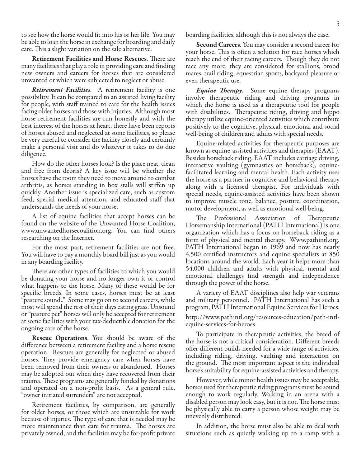to see how the horse would fit into his or her life. You may be able to loan the horse in exchange for boarding and daily care. This a slight variation on the sale alternative.

Retirement Facilities and Horse Rescues. There are many facilities that play a role in providing care and finding new owners and careers for horses that are considered unwanted or which were subjected to neglect or abuse.

*Retirement Facilities*. A retirement facility is one possibility. It can be compared to an assisted living facility for people, with staff trained to care for the health issues facing older horses and those with injuries. Although most horse retirement facilities are run honestly and with the best interest of the horses at heart, there have been reports of horses abused and neglected at some facilities, so please be very careful to consider the facility closely and certainly make a personal visit and do whatever it takes to do due diligence.

How do the other horses look? Is the place neat, clean and free from debris? A key issue will be whether the horses have the room they need to move around to combat arthritis, as horses standing in box stalls will stiffen up quickly. Another issue is specialized care, such as custom feed, special medical attention, and educated staff that understands the needs of your horse.

A list of equine facilities that accept horses can be found on the website of the Unwanted Horse Coalition, www.unwantedhorsecoalition.org. You can find others researching on the Internet.

For the most part, retirement facilities are not free. You will have to pay a monthly board bill just as you would in any boarding facility.

There are other types of facilities to which you would be donating your horse and no longer own it or control what happens to the horse. Many of these would be for specific breeds. In some cases, horses must be at least "pasture sound.." Some may go on to second careers, while most will spend the rest of their days eating grass. Unsound or "pasture pet" horses will only be accepted for retirement at some facilities with your tax-deductible donation for the ongoing care of the horse.

Rescue Operations. You should be aware of the difference between a retirement facility and a horse rescue operation. Rescues are generally for neglected or abused horses. They provide emergency care when horses have been removed from their owners or abandoned. Horses may be adopted out when they have recovered from their trauma. These programs are generally funded by donations and operated on a non-profit basis. As a general rule, "owner initiated surrenders" are not accepted.

Retirement facilities, by comparison, are generally for older horses, or those which are unsuitable for work because of injuries. The type of care that is needed may be more maintenance than care for trauma. The horses are privately owned, and the facilities may be for-profit private

boarding facilities, although this is not always the case.

Second Careers. You may consider a second career for your horse. This is often a solution for race horses which reach the end of their racing careers. Though they do not race any more, they are considered for stallions, brood mares, trail riding, equestrian sports, backyard pleasure or even therapeutic use.

*Equine Therapy*. Some equine therapy programs involve therapeutic riding and driving programs in which the horse is used as a therapeutic tool for people with disabilities. Therapeutic riding, driving and hippo therapy utilize equine-oriented activities which contribute positively to the cognitive, physical, emotional and social well-being of children and adults with special needs.

Equine-related activities for therapeutic purposes are known as equine-assisted activities and therapies (EAAT). Besides horseback riding, EAAT includes carriage driving, interactive vaulting (gymnastics on horseback), equinefacilitated learning and mental health. Each activity uses the horse as a partner in cognitive and behavioral therapy along with a licensed therapist. For individuals with special needs, equine-assisted activities have been shown to improve muscle tone, balance, posture, coordination, motor development, as well as emotional well-being.

The Professional Association of Therapeutic Horsemanship International (PATH International) is one organization which has a focus on horseback riding as a form of physical and mental therapy. Www.pathintl.org. PATH International began in 1969 and now has nearly 4,500 certified instructors and equine specialists at 850 locations around the world. Each year it helps more than 54,000 children and adults with physical, mental and emotional challenges find strength and independence through the power of the horse.

A variety of EAAT disciplines also help war veterans and military personnel. PATH International has such a program, PATH International Equine Services for Heroes. http://www.pathintl.org/resources-education/path-intl-

equine-services-for-heroes

To participate in therapeutic activities, the breed of the horse is not a critical consideration. Different breeds offer different builds needed for a wide range of activities, including riding, driving, vaulting and interaction on the ground. The most important aspect is the individual horse's suitability for equine-assisted activities and therapy.

However, while minor health issues may be acceptable, horses used for therapeutic riding programs must be sound enough to work regularly. Walking in an arena with a disabled person may look easy, but it is not. The horse must be physically able to carry a person whose weight may be unevenly distributed.

In addition, the horse must also be able to deal with situations such as quietly walking up to a ramp with a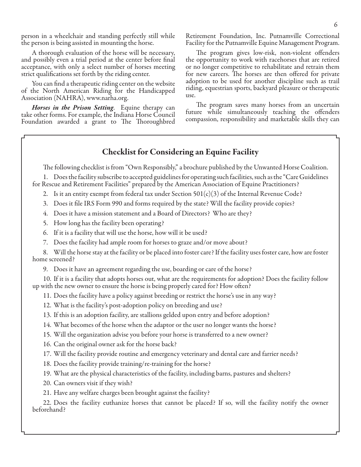person in a wheelchair and standing perfectly still while the person is being assisted in mounting the horse.

A thorough evaluation of the horse will be necessary, and possibly even a trial period at the center before final acceptance, with only a select number of horses meeting strict qualifications set forth by the riding center.

You can find a therapeutic riding center on the website of the North American Riding for the Handicapped Association (NAHRA), www.narha.org.

*Horses in the Prison Setting*. Equine therapy can take other forms. For example, the Indiana Horse Council Foundation awarded a grant to The Thoroughbred

Retirement Foundation, Inc. Putnamville Correctional Facility for the Putnamville Equine Management Program.

The program gives low-risk, non-violent offenders the opportunity to work with racehorses that are retired or no longer competitive to rehabilitate and retrain them for new careers. The horses are then offered for private adoption to be used for another discipline such as trail riding, equestrian sports, backyard pleasure or therapeutic use.

The program saves many horses from an uncertain future while simultaneously teaching the offenders compassion, responsibility and marketable skills they can

## Checklist for Considering an Equine Facility

The following checklist is from "Own Responsibly," a brochure published by the Unwanted Horse Coalition.

1. Does the facility subscribe to accepted guidelines for operating such facilities, such as the "Care Guidelines for Rescue and Retirement Facilities" prepared by the American Association of Equine Practitioners?

- 2. Is it an entity exempt from federal tax under Section  $501(c)(3)$  of the Internal Revenue Code?
- 3. Does it file IRS Form 990 and forms required by the state? Will the facility provide copies?
- 4. Does it have a mission statement and a Board of Directors? Who are they?
- 5. How long has the facility been operating?
- 6. If it is a facility that will use the horse, how will it be used?
- 7. Does the facility had ample room for horses to graze and/or move about?

8. Will the horse stay at the facility or be placed into foster care? If the facility uses foster care, how are foster home screened?

9. Does it have an agreement regarding the use, boarding or care of the horse?

10. If it is a facility that adopts horses out, what are the requirements for adoption? Does the facility follow up with the new owner to ensure the horse is being properly cared for? How often?

11. Does the facility have a policy against breeding or restrict the horse's use in any way?

12. What is the facility's post-adoption policy on breeding and use?

- 13. If this is an adoption facility, are stallions gelded upon entry and before adoption?
- 14. What becomes of the horse when the adaptor or the user no longer wants the horse?
- 15. Will the organization advise you before your horse is transferred to a new owner?
- 16. Can the original owner ask for the horse back?

17. Will the facility provide routine and emergency veterinary and dental care and farrier needs?

18. Does the facility provide training/re-training for the horse?

19. What are the physical characteristics of the facility, including barns, pastures and shelters?

- 20. Can owners visit if they wish?
- 21. Have any welfare charges been brought against the facility?

22. Does the facility euthanize horses that cannot be placed? If so, will the facility notify the owner beforehand?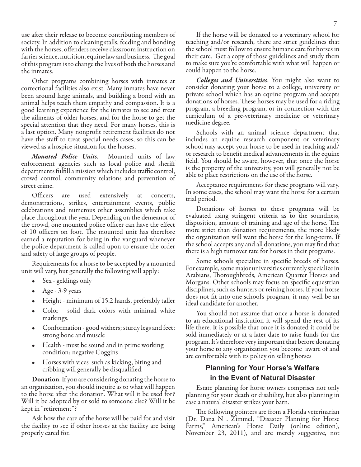use after their release to become contributing members of society. In addition to cleaning stalls, feeding and bonding with the horses, offenders receive classroom instruction on farrier science, nutrition, equine law and business. The goal of this program is to change the lives of both the horses and the inmates.

Other programs combining horses with inmates at correctional facilities also exist. Many inmates have never been around large animals, and building a bond with an animal helps teach them empathy and compassion. It is a good learning experience for the inmates to see and treat the ailments of older horses, and for the horse to get the special attention that they need. For many horses, this is a last option. Many nonprofit retirement facilities do not have the staff to treat special needs cases, so this can be viewed as a hospice situation for the horses.

*Mounted Police Units*. Mounted units of law enforcement agencies such as local police and sheriff departments fulfill a mission which includes traffic control, crowd control, community relations and prevention of street crime.

Officers are used extensively at concerts, demonstrations, strikes, entertainment events, public celebrations and numerous other assemblies which take place throughout the year. Depending on the demeanor of the crowd, one mounted police officer can have the effect of 10 officers on foot. The mounted unit has therefore earned a reputation for being in the vanguard whenever the police department is called upon to ensure the order and safety of large groups of people.

Requirements for a horse to be accepted by a mounted unit will vary, but generally the following will apply:

- Sex geldings only
- Age 3-9 years
- Height minimum of 15.2 hands, preferably taller
- Color solid dark colors with minimal white markings.
- Conformation good withers; sturdy legs and feet; strong bone and muscle
- Health must be sound and in prime working condition; negative Coggins
- Horses with vices such as kicking, biting and cribbing will generally be disqualified.

Donation. If you are considering donating the horse to an organization, you should inquire as to what will happen to the horse after the donation. What will it be used for? Will it be adopted by or sold to someone else? Will it be kept in "retirement"?

Ask how the care of the horse will be paid for and visit the facility to see if other horses at the facility are being properly cared for.

If the horse will be donated to a veterinary school for teaching and/or research, there are strict guidelines that the school must follow to ensure humane care for horses in their care. Get a copy of those guidelines and study them to make sure you're comfortable with what will happen or could happen to the horse.

*Colleges and Universities*. You might also want to consider donating your horse to a college, university or private school which has an equine program and accepts donations of horses. These horses may be used for a riding program, a breeding program, or in connection with the curriculum of a pre-veterinary medicine or veterinary medicine degree.

Schools with an animal science department that includes an equine research component or veterinary school may accept your horse to be used in teaching and/ or research to benefit medical advancements in the equine field. You should be aware, however, that once the horse is the property of the university, you will generally not be able to place restrictions on the use of the horse.

Acceptance requirements for these programs will vary. In some cases, the school may want the horse for a certain trial period.

Donations of horses to these programs will be evaluated using stringent criteria as to the soundness, disposition, amount of training and age of the horse. The more strict than donation requirements, the more likely the organization will want the horse for the long-term. If the school accepts any and all donations, you may find that there is a high turnover rate for horses in their programs.

Some schools specialize in specific breeds of horses. For example, some major universities currently specialize in Arabians, Thoroughbreds, American Quarter Horses and Morgans. Other schools may focus on specific equestrian disciplines, such as hunters or reining horses. If your horse does not fit into one school's program, it may well be an ideal candidate for another.

You should not assume that once a horse is donated to an educational institution it will spend the rest of its life there. It is possible that once it is donated it could be sold immediately or at a later date to raise funds for the program. It's therefore very important that before donating your horse to any organization you become aware of and are comfortable with its policy on selling horses

## **Planning for Your Horse's Welfare in the Event of Natural Disaster**

Estate planning for horse owners comprises not only planning for your death or disability, but also planning in case a natural disaster strikes your barn.

The following pointers are from a Florida veterinarian (Dr. Dana N . Zimmel, "Disaster Planning for Horse Farms," American's Horse Daily (online edition), November 23, 2011), and are merely suggestive, not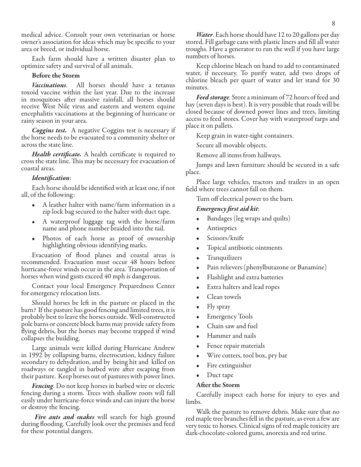medical advice. Consult your own veterinarian or horse owner's association for ideas which may be specific to your area or breed, or individual horse.

Each farm should have a written disaster plan to optimize safety and survival of all animals.

#### Before the Storm

*Vaccinations*. All horses should have a tetanus toxoid vaccine within the last year. Due to the increase in mosquitoes after massive rainfall, all horses should receive West Nile virus and eastern and western equine encephalitis vaccinations at the beginning of hurricane or rainy season in your area.

*Coggins test.* A negative Coggins test is necessary if the horse needs to be evacuated to a community shelter or across the state line.

*Health certificate.* A health certificate is required to cross the state line. This may be necessary for evacuation of coastal areas.

#### *Identification*:

Each horse should be identified with at least one, if not all, of the following:

- A leather halter with name/farm information in a zip lock bag secured to the halter with duct tape.
- A waterproof luggage tag with the horse/farm name and phone number braided into the tail.
- Photos of each horse as proof of ownership highlighting obvious identifying marks.

Evacuation of flood planes and coastal areas is recommended. Evacuation must occur 48 hours before hurricane-force winds occur in the area. Transportation of horses when wind gusts exceed 40 mph is dangerous.

Contact your local Emergency Preparedness Center for emergency relocation lists.

Should horses be left in the pasture or placed in the barn? If the pasture has good fencing and limited trees, it is probably best to leave the horses outside. Well-constructed pole barns or concrete block barns may provide safety from flying debris, but the horses may become trapped if wind collapses the building.

Large animals were killed during Hurricane Andrew in 1992 by collapsing barns, electrocution, kidney failure secondary to dehydration, and by being hit and killed on roadways or tangled in barbed wire after escaping from their pasture. Keep horses out of pastures with power lines.

*Fencing*. Do not keep horses in barbed wire or electric fencing during a storm. Trees with shallow roots will fall easily under hurricane-force winds and can injure the horse or destroy the fencing.

*Fire ants and snakes* will search for high ground during flooding. Carefully look over the premises and feed for these potential dangers.

*Water*. Each horse should have 12 to 20 gallons per day stored. Fill garbage cans with plastic liners and fill all water troughs. Have a generator to run the well if you have large numbers of horses.

Keep chlorine bleach on hand to add to contaminated water, if necessary. To purify water, add two drops of chlorine bleach per quart of water and let stand for 30 minutes.

*Feed storage*. Store a minimum of 72 hours of feed and hay (seven days is best). It is very possible that roads will be closed because of downed power lines and trees, limiting access to feed stores. Cover hay with waterproof tarps and place it on pallets.

Keep grain in water-tight containers.

Secure all movable objects.

Remove all items from hallways.

Jumps and lawn furniture should be secured in a safe place.

Place large vehicles, tractors and trailers in an open field where trees cannot fall on them.

Turn off electrical power to the barn.

#### *Emergency first aid kit*:

- Bandages (leg wraps and quilts)
- **Antiseptics**
- Scissors/knife
- Topical antibiotic ointments
- **Tranquilizers**
- Pain relievers (phenylbutazone or Banamine)
- Flashlight and extra batteries
- Extra halters and lead ropes
- Clean towels
- Fly spray
- **Emergency Tools**
- Chain saw and fuel
- Hammer and nails
- Fence repair materials
- Wire cutters, tool box, pry bar
- Fire extinguisher
- Duct tape

#### After the Storm

Carefully inspect each horse for injury to eyes and limbs.

Walk the pasture to remove debris. Make sure that no red maple tree branches fell in the pasture, as even a few are very toxic to horses. Clinical signs of red maple toxicity are dark-chocolate-colored gums, anorexia and red urine.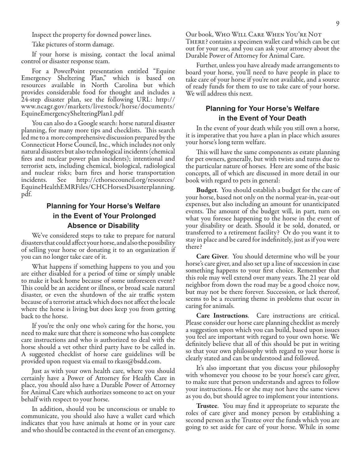Inspect the property for downed power lines.

Take pictures of storm damage.

If your horse is missing, contact the local animal control or disaster response team.

For a PowerPoint presentation entitled "Equine Emergency Sheltering Plan," which is based on resources available in North Carolina but which provides considerable food for thought and includes a 24-step disaster plan, see the following URL: http:// www.ncagr.gov/markets/livestock/horse/documents/ EquineEmergencyShelteringPlan1.pdf

You can also do a Google search: horse natural disaster planning, for many more tips and checklists. This search led me to a more comprehensive discussion prepared by the Connecticut Horse Council, Inc., which includes not only natural disasters but also technological incidents (chemical fires and nuclear power plan incidents); intentional and terrorist acts, including chemical, biological, radiological and nuclear risks; barn fires and horse transportation incidents. See http://cthorsecouncil.org/resources/ EquineHealthEMRFiles/CHCHorsesDisasterplanning. pdf.

## **Planning for Your Horse's Welfare in the Event of Your Prolonged Absence or Disability**

We've considered steps to take to prepare for natural disasters that could affect your horse, and also the possibility of selling your horse or donating it to an organization if you can no longer take care of it.

What happens if something happens to you and you are either disabled for a period of time or simply unable to make it back home because of some unforeseen event? This could be an accident or illness, or broad scale natural disaster, or even the shutdown of the air traffic system because of a terrorist attack which does not affect the locale where the horse is living but does keep you from getting back to the horse.

If you're the only one who's caring for the horse, you need to make sure that there is someone who has complete care instructions and who is authorized to deal with the horse should a vet other third party have to be called in. A suggested checklist of horse care guidelines will be provided upon request via email to rkass@bsdd.com.

Just as with your own health care, where you should certainly have a Power of Attorney for Health Care in place, you should also have a Durable Power of Attorney for Animal Care which authorizes someone to act on your behalf with respect to your horse.

In addition, should you be unconscious or unable to communicate, you should also have a wallet card which indicates that you have animals at home or in your care and who should be contacted in the event of an emergency.

Our book, Who Will Care When You're Not There? contains a specimen wallet card which can be cut out for your use, and you can ask your attorney about the Durable Power of Attorney for Animal Care.

Further, unless you have already made arrangements to board your horse, you'll need to have people in place to take care of your horse if you're not available, and a source of ready funds for them to use to take care of your horse. We will address this next.

## **Planning for Your Horse's Welfare in the Event of Your Death**

In the event of your death while you still own a horse, it is imperative that you have a plan in place which assures your horse's long term welfare.

This will have the same components as estate planning for pet owners, generally, but with twists and turns due to the particular nature of horses. Here are some of the basic concepts, all of which are discussed in more detail in our book with regard to pets in general:

**Budget.** You should establish a budget for the care of your horse, based not only on the normal year-in, year-out expenses, but also including an amount for unanticipated events. The amount of the budget will, in part, turn on what you foresee happening to the horse in the event of your disability or death. Should it be sold, donated, or transferred to a retirement facility? Or do you want it to stay in place and be cared for indefinitely, just as if you were there?

Care Giver. You should determine who will be your horse's care giver, and also set up a line of succession in case something happens to your first choice. Remember that this role may well extend over many years. The 21 year old neighbor from down the road may be a good choice now, but may not be there forever. Succession, or lack thereof, seems to be a recurring theme in problems that occur in caring for animals.

Care Instructions. Care instructions are critical. Please consider our horse care planning checklist as merely a suggestion upon which you can build, based upon issues you feel are important with regard to your own horse. We definitely believe that all of this should be put in writing so that your own philosophy with regard to your horse is clearly stated and can be understood and followed.

It's also important that you discuss your philosophy with whomever you choose to be your horse's care giver, to make sure that person understands and agrees to follow your instructions. He or she may not have the same views as you do, but should agree to implement your intentions.

Trustee. You may find it appropriate to separate the roles of care giver and money person by establishing a second person as the Trustee over the funds which you are going to set aside for care of your horse. While in some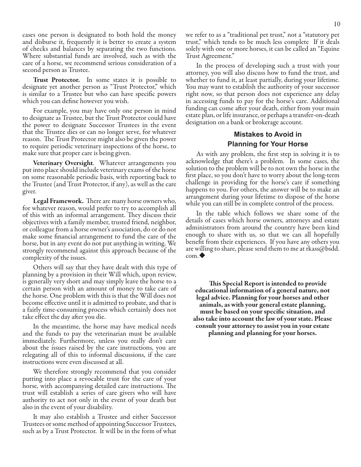cases one person is designated to both hold the money and disburse it, frequently it is better to create a system of checks and balances by separating the two functions. Where substantial funds are involved, such as with the care of a horse, we recommend serious consideration of a second person as Trustee.

Trust Protector. In some states it is possible to designate yet another person as "Trust Protector," which is similar to a Trustee but who can have specific powers which you can define however you wish.

For example, you may have only one person in mind to designate as Trustee, but the Trust Protector could have the power to designate Successor Trustees in the event that the Trustee dies or can no longer serve, for whatever reason. The Trust Protector might also be given the power to require periodic veterinary inspections of the horse, to make sure that proper care is being given.

Veterinary Oversight. Whatever arrangements you put into place should include veterinary exams of the horse on some reasonable periodic basis, with reporting back to the Trustee (and Trust Protector, if any), as well as the care giver.

Legal Framework. There are many horse owners who, for whatever reason, would prefer to try to accomplish all of this with an informal arrangement. They discuss their objectives with a family member, trusted friend, neighbor, or colleague from a horse owner's association, do or do not make some financial arrangement to fund the care of the horse, but in any event do not put anything in writing. We strongly recommend against this approach because of the complexity of the issues.

Others will say that they have dealt with this type of planning by a provision in their Will which, upon review, is generally very short and may simply leave the horse to a certain person with an amount of money to take care of the horse. One problem with this is that the Will does not become effective until it is admitted to probate, and that is a fairly time-consuming process which certainly does not take effect the day after you die.

In the meantime, the horse may have medical needs and the funds to pay the veterinarian must be available immediately. Furthermore, unless you really don't care about the issues raised by the care instructions, you are relegating all of this to informal discussions, if the care instructions were even discussed at all.

We therefore strongly recommend that you consider putting into place a revocable trust for the care of your horse, with accompanying detailed care instructions. The trust will establish a series of care givers who will have authority to act not only in the event of your death but also in the event of your disability.

It may also establish a Trustee and either Successor Trustees or some method of appointing Successor Trustees, such as by a Trust Protector. It will be in the form of what we refer to as a "traditional pet trust," not a "statutory pet trust," which tends to be much less complete If it deals solely with one or more horses, it can be called an "Equine Trust Agreement."

In the process of developing such a trust with your attorney, you will also discuss how to fund the trust, and whether to fund it, at least partially, during your lifetime. You may want to establish the authority of your successor right now, so that person does not experience any delay in accessing funds to pay for the horse's care. Additional funding can come after your death, either from your main estate plan, or life insurance, or perhaps a transfer-on-death designation on a bank or brokerage account.

## **Mistakes to Avoid in Planning for Your Horse**

As with any problem, the first step in solving it is to acknowledge that there's a problem. In some cases, the solution to the problem will be to not own the horse in the first place, so you don't have to worry about the long-term challenge in providing for the horse's care if something happens to you. For others, the answer will be to make an arrangement during your lifetime to dispose of the horse while you can still be in complete control of the process.

In the table which follows we share some of the details of cases which horse owners, attorneys and estate administrators from around the country have been kind enough to share with us, so that we can all hopefully benefit from their experiences. If you have any others you are willing to share, please send them to me at rkass@bsdd. com.

This Special Report is intended to provide educational information of a general nature, not legal advice. Planning for your horses and other animals, as with your general estate planning, must be based on your specific situation, and also take into account the law of your state. Please consult your attorney to assist you in your estate planning and planning for your horses.

10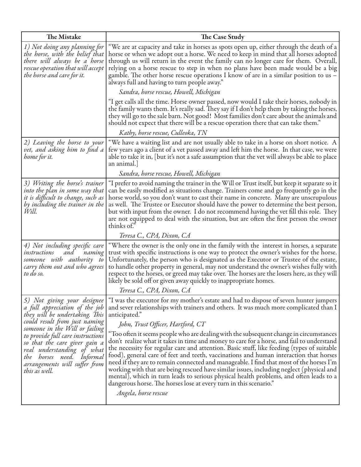| The Mistake                                                                                                                                                                                                                                                                                                                                              | The Case Study                                                                                                                                                                                                                                                                                                                                                                                                                                                                                                                                                                                                                                                                                                                                           |
|----------------------------------------------------------------------------------------------------------------------------------------------------------------------------------------------------------------------------------------------------------------------------------------------------------------------------------------------------------|----------------------------------------------------------------------------------------------------------------------------------------------------------------------------------------------------------------------------------------------------------------------------------------------------------------------------------------------------------------------------------------------------------------------------------------------------------------------------------------------------------------------------------------------------------------------------------------------------------------------------------------------------------------------------------------------------------------------------------------------------------|
| 1) Not doing any planning for<br>the horse, with the belief that<br>there will always be a horse<br>rescue operation that will accept<br>the horse and care for it.                                                                                                                                                                                      | "We are at capacity and take in horses as spots open up, either through the death of a<br>horse or when we adopt out a horse. We need to keep in mind that all horses adopted<br>through us will return in the event the family can no longer care for them. Overall,<br>relying on a horse rescue to step in when no plans have been made would be a big<br>gamble. The other horse rescue operations I know of are in a similar position to us $-$<br>always full and having to turn people away."                                                                                                                                                                                                                                                     |
|                                                                                                                                                                                                                                                                                                                                                          | Sandra, horse rescue, Howell, Michigan                                                                                                                                                                                                                                                                                                                                                                                                                                                                                                                                                                                                                                                                                                                   |
|                                                                                                                                                                                                                                                                                                                                                          | "I get calls all the time. Horse owner passed, now would I take their horses, nobody in<br>the family wants them. It's really sad. They say if I don't help them by taking the horses,<br>they will go to the sale barn. Not good! Most families don't care about the animals and<br>should not expect that there will be a rescue operation there that can take them."                                                                                                                                                                                                                                                                                                                                                                                  |
|                                                                                                                                                                                                                                                                                                                                                          | Kathy, horse rescue, Culleoka, TN                                                                                                                                                                                                                                                                                                                                                                                                                                                                                                                                                                                                                                                                                                                        |
| 2) Leaving the horse to your<br>vet, and asking him to find a<br>home for it.                                                                                                                                                                                                                                                                            | "We have a waiting list and are not usually able to take in a horse on short notice. A<br>few years ago a client of a vet passed away and left him the horse. In that case, we were<br>able to take it in, [but it's not a safe assumption that the vet will always be able to place<br>an animal.                                                                                                                                                                                                                                                                                                                                                                                                                                                       |
|                                                                                                                                                                                                                                                                                                                                                          | Sandra, horse rescue, Howell, Michigan                                                                                                                                                                                                                                                                                                                                                                                                                                                                                                                                                                                                                                                                                                                   |
| 3) Writing the horse's trainer<br>into the plan in some way that<br>it is difficult to change, such as<br>by including the trainer in the<br>Will.                                                                                                                                                                                                       | "I prefer to avoid naming the trainer in the Will or Trust itself, but keep it separate so it<br>can be easily modified as situations change. Trainers come and go frequently go in the<br>horse world, so you don't want to cast their name in concrete. Many are unscrupulous<br>as well. The Trustee or Executor should have the power to determine the best person,<br>but with input from the owner. I do not recommend having the vet fill this role. They<br>are not equipped to deal with the situation, but are often the first person the owner<br>thinks of."                                                                                                                                                                                 |
|                                                                                                                                                                                                                                                                                                                                                          | Teresa C., CPA, Dixon, CA                                                                                                                                                                                                                                                                                                                                                                                                                                                                                                                                                                                                                                                                                                                                |
| 4) Not including specific care<br>instructions<br>naming<br>and<br>someone with authority to<br>carry them out and who agrees<br>to do so.                                                                                                                                                                                                               | "Where the owner is the only one in the family with the interest in horses, a separate<br>trust with specific instructions is one way to protect the owner's wishes for the horse.<br>Unfortunately, the person who is designated as the Executor or Trustee of the estate,<br>to handle other property in general, may not understand the owner's wishes fully with<br>respect to the horses, or greed may take over. The horses are the losers here, as they will<br>likely be sold off or given away quickly to inappropriate homes.                                                                                                                                                                                                                  |
|                                                                                                                                                                                                                                                                                                                                                          | Teresa C., CPA, Dixon, CA                                                                                                                                                                                                                                                                                                                                                                                                                                                                                                                                                                                                                                                                                                                                |
| 5) Not giving your designee<br>a full appreciation of the job<br>they will be undertaking. This<br>could result from just naming<br>someone in the Will or failing<br>to provide full care instructions<br>so that the care giver gain a<br>real understanding of what<br>horses need. Informal<br>the<br>arrangements will suffer from<br>this as well. | "I was the executor for my mother's estate and had to dispose of seven hunter jumpers<br>and sever relationships with trainers and others. It was much more complicated than I<br>anticipated."<br>John, Trust Officer, Hartford, CT                                                                                                                                                                                                                                                                                                                                                                                                                                                                                                                     |
|                                                                                                                                                                                                                                                                                                                                                          | "Too often it seems people who are dealing with the subsequent change in circumstances<br>don't realize what it takes in time and money to care for a horse, and fail to understand<br>the necessity for regular care and attention. Basic stuff, like feeding (types of suitable<br>food), general care of feet and teeth, vaccinations and human interaction that horses<br>need if they are to remain connected and manageable. I find that most of the horses I'm<br>working with that are being rescued have similar issues, including neglect (physical and<br>mental), which in turn leads to serious physical health problems, and often leads to a<br>dangerous horse. The horses lose at every turn in this scenario."<br>Angela, horse rescue |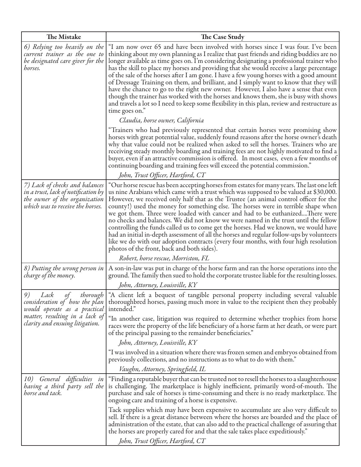| The Mistake                                                                                                                                | The Case Study                                                                                                                                                                                                                                                                                                                                                                                                                                                                                                                                                                                                                                                                                                                                                                                                                                                              |
|--------------------------------------------------------------------------------------------------------------------------------------------|-----------------------------------------------------------------------------------------------------------------------------------------------------------------------------------------------------------------------------------------------------------------------------------------------------------------------------------------------------------------------------------------------------------------------------------------------------------------------------------------------------------------------------------------------------------------------------------------------------------------------------------------------------------------------------------------------------------------------------------------------------------------------------------------------------------------------------------------------------------------------------|
| 6) Relying too heavily on the<br>current trainer as the one to<br>be designated care giver for the<br>horses.                              | "I am now over 65 and have been involved with horses since I was four. I've been<br>thinking about my own planning as I realize that past friends and riding buddies are no<br>longer available as time goes on. I'm considering designating a professional trainer who<br>has the skill to place my horses and providing that she would receive a large percentage<br>of the sale of the horses after I am gone. I have a few young horses with a good amount<br>of Dressage Training on them, and brilliant, and I simply want to know that they will<br>have the chance to go to the right new owner. However, I also have a sense that even<br>though the trainer has worked with the horses and knows them, she is busy with shows<br>and travels a lot so I need to keep some flexibility in this plan, review and restructure as<br>time goes on."                   |
|                                                                                                                                            | Claudia, horse owner, California<br>"Trainers who had previously represented that certain horses were promising show                                                                                                                                                                                                                                                                                                                                                                                                                                                                                                                                                                                                                                                                                                                                                        |
|                                                                                                                                            | horses with great potential value, suddenly found reasons after the horse owner's death<br>why that value could not be realized when asked to sell the horses. Trainers who are<br>receiving steady monthly boarding and training fees are not highly motivated to find a<br>buyer, even if an attractive commission is offered. In most cases, even a few months of<br>continuing boarding and training fees will exceed the potential commission."                                                                                                                                                                                                                                                                                                                                                                                                                        |
|                                                                                                                                            | John, Trust Officer, Hartford, CT                                                                                                                                                                                                                                                                                                                                                                                                                                                                                                                                                                                                                                                                                                                                                                                                                                           |
| 7) Lack of checks and balances<br>in a trust, lack of notification by<br>the owner of the organization<br>which was to receive the horses. | "Our horse rescue has been accepting horses from estates for many years. The last one left $\mid$<br>us nine Arabians which came with a trust which was supposed to be valued at \$30,000.<br>However, we received only half that as the Trustee (an animal control officer for the<br>county!) used the money for something else. The horses were in terrible shape when<br>we got them. Three were loaded with cancer and had to be euthanizedThere were<br>no checks and balances. We did not know we were named in the trust until the fellow<br>controlling the funds called us to come get the horses. Had we known, we would have<br>had an initial in-depth assessment of all the horses and regular follow-ups by volunteers<br>like we do with our adoption contracts (every four months, with four high resolution<br>photos of the front, back and both sides). |
|                                                                                                                                            | Robert, horse rescue, Morriston, FL                                                                                                                                                                                                                                                                                                                                                                                                                                                                                                                                                                                                                                                                                                                                                                                                                                         |
| 8) Putting the wrong person in<br>charge of the money.                                                                                     | A son-in-law was put in charge of the horse farm and ran the horse operations into the<br>ground. The family then sued to hold the corporate trustee liable for the resulting losses.<br>John, Attorney, Louisville, KY                                                                                                                                                                                                                                                                                                                                                                                                                                                                                                                                                                                                                                                     |
| consideration of how the plan<br>would operate as a practical<br>matter, resulting in a lack of<br>clarity and ensuing litigation.         | 9) Lack of thorough "A client left a bequest of tangible personal property including several valuable<br>thoroughbred horses, passing much more in value to the recipient then they probably<br>intended."                                                                                                                                                                                                                                                                                                                                                                                                                                                                                                                                                                                                                                                                  |
|                                                                                                                                            | "In another case, litigation was required to determine whether trophies from horse<br>races were the property of the life beneficiary of a horse farm at her death, or were part<br>of the principal passing to the remainder beneficiaries."                                                                                                                                                                                                                                                                                                                                                                                                                                                                                                                                                                                                                               |
|                                                                                                                                            | John, Attorney, Louisville, KY                                                                                                                                                                                                                                                                                                                                                                                                                                                                                                                                                                                                                                                                                                                                                                                                                                              |
|                                                                                                                                            | "I was involved in a situation where there was frozen semen and embryos obtained from<br>previously collections, and no instructions as to what to do with them."                                                                                                                                                                                                                                                                                                                                                                                                                                                                                                                                                                                                                                                                                                           |
|                                                                                                                                            | Vaughn, Attorney, Springfield, IL                                                                                                                                                                                                                                                                                                                                                                                                                                                                                                                                                                                                                                                                                                                                                                                                                                           |
| 10) General difficulties in<br>having a third party sell the<br>horse and tack.                                                            | "Finding a reputable buyer that can be trusted not to resell the horses to a slaughterhouse<br>is challenging. The marketplace is highly inefficient, primarily word-of-mouth. The<br>purchase and sale of horses is time-consuming and there is no ready marketplace. The<br>ongoing care and training of a horse is expensive.                                                                                                                                                                                                                                                                                                                                                                                                                                                                                                                                            |
|                                                                                                                                            | Tack supplies which may have been expensive to accumulate are also very difficult to<br>sell. If there is a great distance between where the horses are boarded and the place of<br>administration of the estate, that can also add to the practical challenge of assuring that<br>the horses are properly cared for and that the sale takes place expeditiously."<br>John, Trust Officer, Hartford, CT                                                                                                                                                                                                                                                                                                                                                                                                                                                                     |